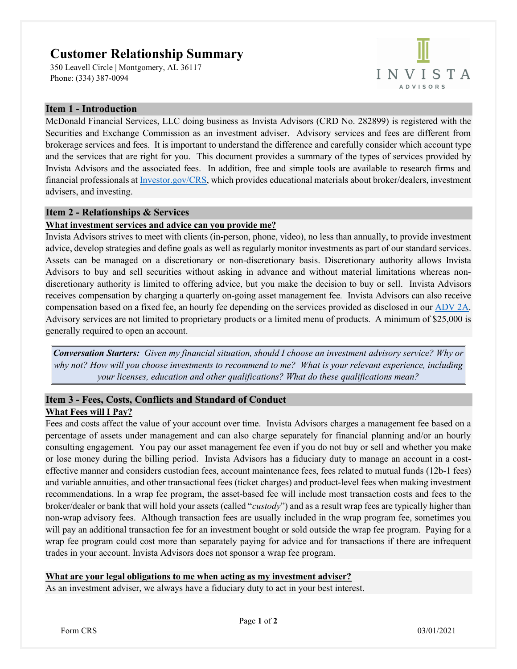# **Customer Relationship Summary**

350 Leavell Circle | Montgomery, AL 36117 Phone: (334) 387-0094



### **Item 1 - Introduction**

McDonald Financial Services, LLC doing business as Invista Advisors (CRD No. 282899) is registered with the Securities and Exchange Commission as an investment adviser. Advisory services and fees are different from brokerage services and fees. It is important to understand the difference and carefully consider which account type and the services that are right for you. This document provides a summary of the types of services provided by Invista Advisors and the associated fees. In addition, free and simple tools are available to research firms and financial professionals a[t Investor.gov/CRS,](file:///C:/Users/danie/OneDrive/DCR%20Consulting%20Services%20-%20Documents/Form%20CRS%20(ADV%203)/Investor.gov/CRS) which provides educational materials about broker/dealers, investment advisers, and investing.

#### **Item 2 - Relationships & Services**

#### **What investment services and advice can you provide me?**

Invista Advisors strives to meet with clients (in-person, phone, video), no less than annually, to provide investment advice, develop strategies and define goals as well as regularly monitor investments as part of our standard services. Assets can be managed on a discretionary or non-discretionary basis. Discretionary authority allows Invista Advisors to buy and sell securities without asking in advance and without material limitations whereas nondiscretionary authority is limited to offering advice, but you make the decision to buy or sell. Invista Advisors receives compensation by charging a quarterly on-going asset management fee*.* Invista Advisors can also receive compensation based on a fixed fee, an hourly fee depending on the services provided as disclosed in our [ADV 2A.](https://adviserinfo.sec.gov/firm/summary/282899) Advisory services are not limited to proprietary products or a limited menu of products. A minimum of \$25,000 is generally required to open an account.

*Conversation Starters: Given my financial situation, should I choose an investment advisory service? Why or why not? How will you choose investments to recommend to me? What is your relevant experience, including your licenses, education and other qualifications? What do these qualifications mean?*

#### **Item 3 - Fees, Costs, Conflicts and Standard of Conduct What Fees will I Pay?**

Fees and costs affect the value of your account over time. Invista Advisors charges a management fee based on a percentage of assets under management and can also charge separately for financial planning and/or an hourly consulting engagement. You pay our asset management fee even if you do not buy or sell and whether you make or lose money during the billing period. Invista Advisors has a fiduciary duty to manage an account in a costeffective manner and considers custodian fees, account maintenance fees, fees related to mutual funds (12b-1 fees) and variable annuities, and other transactional fees (ticket charges) and product-level fees when making investment recommendations. In a wrap fee program, the asset-based fee will include most transaction costs and fees to the broker/dealer or bank that will hold your assets (called "*custody*") and as a result wrap fees are typically higher than non-wrap advisory fees. Although transaction fees are usually included in the wrap program fee, sometimes you will pay an additional transaction fee for an investment bought or sold outside the wrap fee program. Paying for a wrap fee program could cost more than separately paying for advice and for transactions if there are infrequent trades in your account. Invista Advisors does not sponsor a wrap fee program.

#### **What are your legal obligations to me when acting as my investment adviser?**

As an investment adviser, we always have a fiduciary duty to act in your best interest.